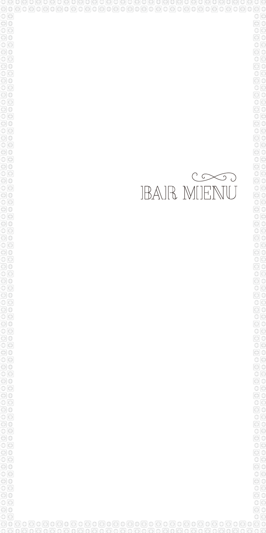00000000000000000000000000000000000  $\odot$  $\circ$ 00000  $\circ$ o 0000000000000<br>000000000000  $\circ \circ$  $\odot$   $\odot$  $00000$  $\overline{\mathbb{O}}$  $\overline{\mathbb{O}}$ OOO  $\circ \circ$  $\odot$   $\odot$  $00$  $\circ \circ$  $\overline{\odot}$  $\circ \circ$  $\overline{\odot}$  0  $\circ$  $\begin{array}{c}\n\hline\n0 \\
0 \\
\hline\n0\n\end{array}$  $\odot$  $\circledcirc$  $\odot$   $\odot$  $\overline{\circ}$  $\Theta$  $\Phi$  $\circ$  $\Theta$ 0  $O$  $\Theta$  $\odot$   $\odot$  $\circ$  $\odot$  $\overline{\circ}$ o  $\Theta$ 0  $O($  $\overline{\odot}$  0  $\overline{\circ}$ o  $\Theta$ 0  $O<sub>O</sub>$  $\odot$  $\overline{\circ}$ o  $\Theta$ 0 o o  $\Theta$ 0  $\overline{\circ}$  $\overline{\circ}$  $\overline{\odot}$  0  $O($  $\odot$ οø  $\overline{\odot}$  0 

# **EXECUTE**<br>IBAIR MIENU

0 G

 $\Theta$ 0  $\overline{\circ}$  $\Theta$ 0

 $\overline{\circ}$ 

 $\Theta$ 0

0000

oo

 $O<sub>O</sub>$ ō  $\Theta$ 

 $\overline{\circ}$   $\overline{\circ}$ ō

 $O<sub>O</sub>$ 

ΘO

οſε  $\mathbb O$ 

000<br>000<br>00

 $\circ$ 

 $\odot$   $\odot$ 

 $\overline{\circ}$   $\overline{\circ}$ 

 $\overline{\odot}$   $\overline{\odot}$ 

 $\circ$ 

 $\Theta$  0  $\mathbb{O}(\sqrt{2})$ 

 $\Theta$ 

ananananananananananananananananananan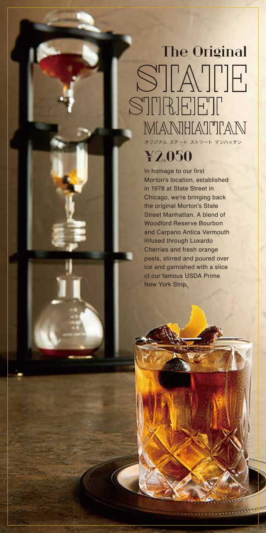# The Original STATE STIREET MIANIHIATTIAN オリジナル ステート ストリート マンハッタン

### ¥2,050

In homage to our first Morton's location, established in 1978 at State Street in Chicago, we're bringing back the original Morton's State Street Manhattan. A blend of Woodford Reserve Bourbon and Carpano Antica Vermouth infused through Luxardo Cherries and fresh orange peels, stirred and poured over ice and garnished with a slice of our famous USDA Prime New York Strip.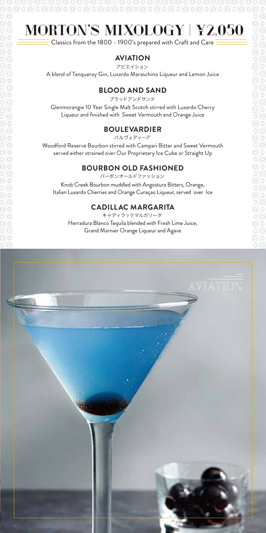# $\textcolor{blue}{\textcolor{blue}{\textbf{0.0000000000}}}$

## MORTON'S MIXOLOGY | ¥2,050

 $\overline{\phantom{1}}$  Classics from the 1800 - 1900's prepared with Craft and Care  $\overline{\phantom{1}}$ 

### **AVIATION**

アビエイション

A blend of Tanqueray Gin, Luxardo Maraschino Liqueur and Lemon Juice

### **BLOOD AND SAND**

ブラッドアンドサンド

Glenmorangie 10 Year Single Malt Scotch stirred with Luxardo Cherry Liqueur and finished with Sweet Vermouth and Orange Juice

### **BOULEVARDIER**

バルヴェディーア

Woodford Reserve Bourbon stirred with Campari Bitter and Sweet Vermouth served either strained over Our Proprietary Ice Cube or Straight Up

### **BOURBON OLD FASHIONED**

バーボンオールドファッション

Knob Creek Bourbon muddled with Angostura Bitters, Orange, Italian Luxardo Cherries and Orange Curaçao Liqueur, served over Ice

### **CADILLAC MARGARITA**

Herradura Blanco Tequila blended with Fresh Lime Juice, Grand Marnier Orange Liqueur and Agave キャディラックマルガリータ

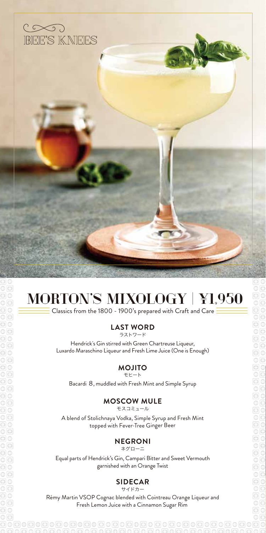

# MORTON'S MIXOLOGY | ¥1,950

 $\equiv$  Classics from the 1800 - 1900's prepared with Craft and Care  $\bar{\bar{z}}$ 

#### **LAST WORD** ラストワード

Hendrick's Gin stirred with Green Chartreuse Liqueur, Luxardo Maraschino Liqueur and Fresh Lime Juice (One is Enough)

#### **MOJITO** モヒート

Bacardi 8, muddled with Fresh Mint and Simple Syrup

### **MOSCOW MULE**

モスコミュール

A blend of Stolichnaya Vodka, Simple Syrup and Fresh Mint topped with Fever-Tree Ginger Beer

### **NEGRONI**

ネグローニ

Equal parts of Hendrick's Gin, Campari Bitter and Sweet Vermouth garnished with an Orange Twist

### **SIDECAR**

サイドカー

Rémy Martin VSOP Cognac blended with Cointreau Orange Liqueur and Fresh Lemon Juice with a Cinnamon Sugar Rim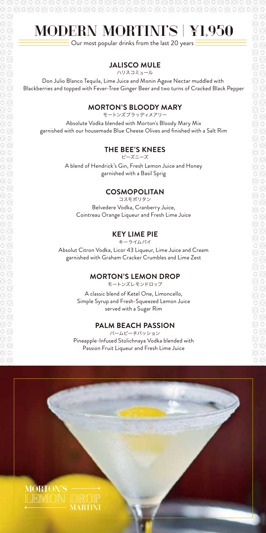# MODERN MORTINI'S | ¥1,950

909090909090909090909090909090909090

 $\overline{\phantom{1}}$  Our most popular drinks from the last 20 years  $\overline{\phantom{1}}$ 

### **JALISCO MULE**

ハリスコミュール

Don Julio Blanco Tequila, Lime Juice and Monin Agave Nectar muddled with Blackberries and topped with Fever-Tree Ginger Beer and two turns of Cracked Black Pepper

### **MORTON'S BLOODY MARY**

モートンズブラッディメアリー

Absolute Vodka blended with Morton's Bloody Mary Mix garnished with our housemade Blue Cheese Olives and finished with a Salt Rim

### **THE BEE'S KNEES**

ビーズニーズ

A blend of Hendrick's Gin, Fresh Lemon Juice and Honey garnished with a Basil Sprig

### **COSMOPOLITAN**

Belvedere Vodka, Cranberry Juice, Cointreau Orange Liqueur and Fresh Lime Juice コスモポリタン

### **KEY LIME PIE**

Absolut Citron Vodka, Licor 43 Liqueur, Lime Juice and Cream garnished with Graham Cracker Crumbles and Lime Zest キーライムパイ

#### **MORTON'S LEMON DROP**

モートンズレモンドロップ

A classic blend of Ketel One, Limoncello, Simple Syrup and Fresh-Squeezed Lemon Juice served with a Sugar Rim

### **PALM BEACH PASSION**

Pineapple-Infused Stolichnaya Vodka blended with Passion Fruit Liqueur and Fresh Lime Juice パームビーチパッション

ΘO

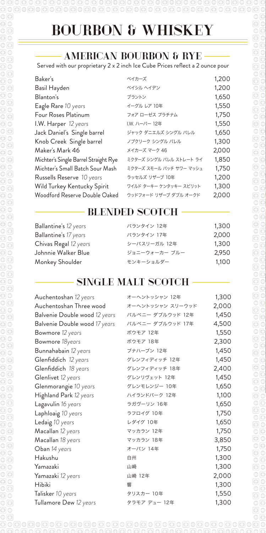# 

# BOURBON & WHISKEY

### AMERICAN BOURBON & RYE

Served with our proprietary 2 x 2 inch Ice Cube Prices reflect a 2 ounce pour

| Baker's                              | ベイカーズ                   | 1,200 |
|--------------------------------------|-------------------------|-------|
| Basil Hayden                         | ベイシル ヘイデン               | 1,200 |
| Blanton's                            | ブラントン                   | 1,650 |
| Eagle Rare 10 years                  | イーグル レア 10年             | 1,550 |
| Four Roses Platinum                  | フォア ローゼス プラチナム          | 1,750 |
| I.W. Harper 12 years                 | I.W. ハーパー 12年           | 1,550 |
| Jack Daniel's Single barrel          | ジャック ダニエルズ シングル バレル     | 1,650 |
| Knob Creek Single barrel             | ノブクリーク シングル バレル         | 1,300 |
| Maker's Mark 46                      | メイカーズ マーク 46            | 2,000 |
| Michter's Single Barrel Straight Rye | ミクターズ シングル バレル ストレート ライ | 1,850 |
| Michter's Small Batch Sour Mash      | ミクターズ スモール バッチ サワー マッシュ | 1,750 |
| Russells Reserve 10 years            | ラッセルズ リザーブ 10年          | 1,200 |
| Wild Turkey Kentucky Spirit          | ワイルド ターキー ケンタッキー スピリット  | 1,300 |
| Woodford Reserve Double Oaked        | ウッドフォード リザーブ ダブル オークド   | 2,000 |
|                                      |                         |       |

### BLENDED SCOTCH

| Ballantine's 12 years | バランタイン 12年    | 1,300 |
|-----------------------|---------------|-------|
| Ballantine's 17 years | バランタイン 17年    | 2,000 |
| Chivas Regal 12 years | シーバスリーガル 12年  | 1,300 |
| Johnnie Walker Blue   | ジョニーウォーカー ブルー | 2,950 |
| Monkey Shoulder       | モンキーショルダー     | 1,100 |

### SINGLE MALT SCOTCH

| Auchentoshan 12 years         | オーヘントッシャン 12年    | 1,300 |
|-------------------------------|------------------|-------|
| Auchentoshan Three wood       | オーヘントッシャン スリーウッド | 2,000 |
| Balvenie Double wood 12 years | バルベニー ダブルウッド 12年 | 1,450 |
| Balvenie Double wood 17 years | バルベニー ダブルウッド 17年 | 4,500 |
| Bowmore 12 years              | ボウモア 12年         | 1,550 |
| Bowmore 18years               | ボウモア 18年         | 2,300 |
| Bunnahabain 12 years          | ブナハーブン 12年       | 1,450 |
| Glenfiddich 12 years          | グレンフィディッチ 12年    | 1,450 |
| Glenfiddich 18 years          | グレンフィディッチ 18年    | 2,400 |
| Glenlivet 12 years            | グレンリヴェット 12年     | 1,450 |
| Glenmorangie 10 years         | グレンモレンジー 10年     | 1,650 |
| Highland Park 12 years        | ハイランドパーク 12年     | 1,100 |
| Lagavulin 16 years            | ラガヴーリン 16年       | 1,650 |
| Laphloaig 10 years            | ラフロイグ 10年        | 1,750 |
| Ledaig 10 years               | レダイグ 10年         | 1,650 |
| Macallan 12 years             | マッカラン 12年        | 1,750 |
| Macallan 18 years             | マッカラン 18年        | 3,850 |
| Oban 14 years                 | オーバン 14年         | 1,750 |
| Hakushu                       | 白州               | 1,300 |
| Yamazaki                      | 山崎               | 1,300 |
| Yamazaki 12 years             | 山崎 12年           | 2,000 |
| <b>Hibiki</b>                 | 響                | 1,300 |
| Talisker 10 years             | タリスカー 10年        | 1,550 |
| Tullamore Dew 12 years        | タラモア デュー 12年     | 1,300 |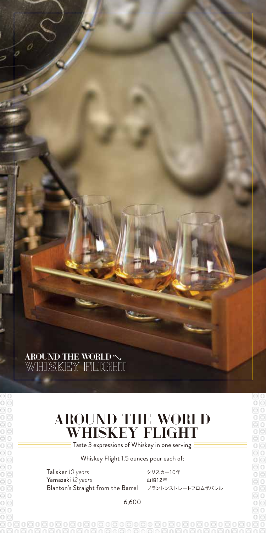# AROUND THE WORLD  $\sim$  WHISKEY FLIGHT

### AROUND THE WORLD WHISKEY FLIGHT

 $\bar{\bar{\mathsf{F}}}$  Taste 3 expressions of Whiskey in one serving  $\bar{\bar{\bar{\mathsf{F}}}}$ 

Whiskey Flight 1.5 ounces pour each of:

Talisker *10 years* Yamazaki *12 years* Blanton's Straight from the Barrel

 $O<sup>o</sup>$ 

タリスカー10年 山崎12年 ブラントンストレートフロムザバレル

6,600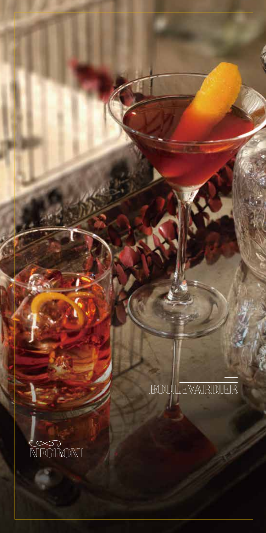**IBOUILEVAIRIDIER** 

á

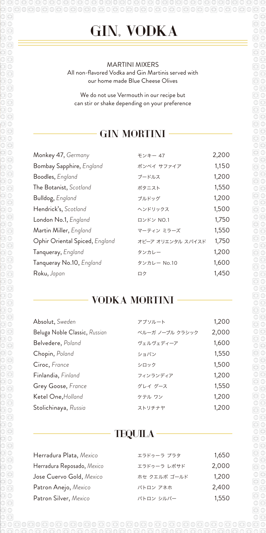GIN, VODKA

808080808080808080808080808080808080

 $\circ$ 

#### MARTINI MIXERS All non-flavored Vodka and Gin Martinis served with our home made Blue Cheese Olives

We do not use Vermouth in our recipe but can stir or shake depending on your preference

### GIN MORTINI

| Monkey 47, Germany             | モンキー 47           | 2,200 |
|--------------------------------|-------------------|-------|
| Bombay Sapphire, England       | ボンベイ サファイア        | 1,150 |
| Boodles, England               | ブードルス             | 1,200 |
| The Botanist, Scotland         | ボタニスト             | 1,550 |
| Bulldog, England               | ブルドッグ             | 1,200 |
| Hendrick's, Scotland           | ヘンドリックス           | 1,500 |
| London No.1, England           | ロンドン NO.1         | 1,750 |
| Martin Miller, England         | マーティン ミラーズ        | 1,550 |
| Ophir Oriental Spiced, England | オピーア オリエンタル スパイスド | 1,750 |
| Tanqueray, England             | タンカレー             | 1,200 |
| Tanqueray No.10, England       | タンカレー No.10       | 1,600 |
| Roku, Japan                    | ロク                | 1,450 |

### VODKA MORTINI

| Absolut, Sweden               | アブソルート          | 1,200 |
|-------------------------------|-----------------|-------|
| Beluga Noble Classic, Russian | ベルーガ ノーブル クラシック | 2,000 |
| Belvedere, Poland             | ヴェルヴェディーア       | 1,600 |
| Chopin, Poland                | ショパン            | 1,550 |
| Ciroc, France                 | シロック            | 1,500 |
| Finlandia, Finland            | フィンランディア        | 1,200 |
| Grey Goose, France            | グレイ グース         | 1,550 |
| Ketel One, Holland            | ケテル ワン          | 1,200 |
| Stolichinaya, Russia          | ストリチナヤ          | 1,200 |

### TEQUILA

| Herradura Plata, Mexico    | エラドゥーラ プラタ   | 1,650 |
|----------------------------|--------------|-------|
| Herradura Reposado, Mexico | エラドゥーラ レポサド  | 2,000 |
| Jose Cuervo Gold, Mexico   | ホセ クエルボ ゴールド | 1,200 |
| Patron Anejo, Mexico       | パトロン アネホ     | 2,400 |
| Patron Silver, Mexico      | パトロン シルバー    | 1,550 |

anan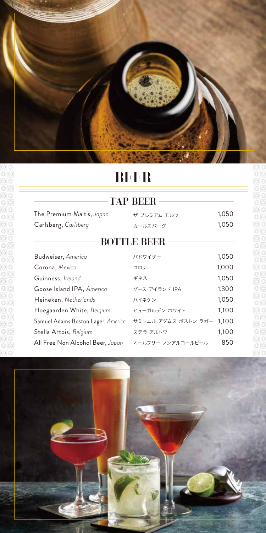

### BEER

| .<br>.                             |                     |       |  |
|------------------------------------|---------------------|-------|--|
| The Premium Malt's, Japan          | ザ プレミアム モルツ         | 1,050 |  |
| Carlsberg, Carlsberg               | カールスバーグ             | 1,050 |  |
| <b>BOTTLE BEER</b>                 |                     |       |  |
| Budweiser, America                 | バドワイザー              | 1,050 |  |
| Corona, Mexico                     | コロナ                 | 1,000 |  |
| Guinness, Ireland                  | ギネス                 | 1,050 |  |
| Goose Island IPA, America          | グース アイランド IPA       | 1,300 |  |
| Heineken, Netherlands              | ハイネケン               | 1,050 |  |
| Hoegaarden White, Belgium          | ヒューガルデン ホワイト        | 1,100 |  |
| Samuel Adams Boston Lager, America | サミュエル アダムス ボストン ラガー | 1,100 |  |
| Stella Artois, Belgium             | ステラ アルトワ            | 1,100 |  |
| All Free Non Alcohol Beer, Japan   | オールフリー ノンアルコールビール   | 850   |  |

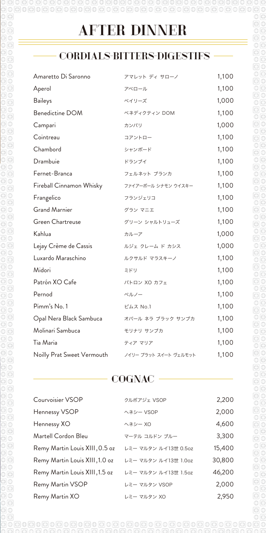### CORDIALS-BITTERS-DIGESTIFS

| Amaretto Di Saronno        | アマレット ディ サローノ         | 1,100 |
|----------------------------|-----------------------|-------|
| Aperol                     | アペロール                 | 1,100 |
| <b>Baileys</b>             | ベイリーズ                 | 1,000 |
| Benedictine DOM            | ベネディクティン DOM          | 1,100 |
| Campari                    | カンパリ                  | 1,000 |
| Cointreau                  | コアントロー                | 1,100 |
| Chambord                   | シャンボード                | 1,100 |
| Drambuie                   | ドランブイ                 | 1,100 |
| Fernet-Branca              | フェルネット ブランカ           | 1,100 |
| Fireball Cinnamon Whisky   | ファイアーボール シナモン ウイスキー   | 1,100 |
| Frangelico                 | フランジェリコ               | 1,100 |
| <b>Grand Marnier</b>       | グラン マニエ               | 1,100 |
| Green Chartreuse           | グリーン シャルトリューズ         | 1,100 |
| Kahlua                     | カルーア                  | 1,000 |
| Lejay Crème de Cassis      | ルジェ クレーム ド カシス        | 1,000 |
| Luxardo Maraschino         | ルクサルド マラスキーノ          | 1,100 |
| Midori                     | ミドリ                   | 1,100 |
| Patrón XO Cafe             | パトロン XO カフェ           | 1,100 |
| Pernod                     | ペルノー                  | 1,100 |
| Pimm's No. 1               | ピムス No.1              | 1,100 |
| Opal Nera Black Sambuca    | オパール ネラ ブラック サンブカ     | 1,100 |
| Molinari Sambuca           | モリナリ サンブカ             | 1,100 |
| Tia Maria                  | ティア マリア               | 1,100 |
| Noilly Prat Sweet Vermouth | ノイリー プラット スイート ヴェルモット | 1,100 |

### **COGNAC**

| Courvoisier VSOP               | クルボアジェ VSOP          | 2,200  |
|--------------------------------|----------------------|--------|
| Hennessy VSOP                  | ヘネシー VSOP            | 2,000  |
| Hennessy XO                    | ヘネシー XO              | 4,600  |
| Martell Cordon Bleu            | マーテル コルドン ブルー        | 3,300  |
| Remy Martin Louis XIII, 0.5 oz | レミー マルタン ルイ13世 0.5oz | 15,400 |
| Remy Martin Louis XIII, 1.0 oz | レミー マルタン ルイ13世 1.0oz | 30,800 |
| Remy Martin Louis XIII, 1.5 oz | レミー マルタン ルイ13世 1.5oz | 46,200 |
| Remy Martin VSOP               | レミー マルタン VSOP        | 2,000  |
| Remy Martin XO                 | レミー マルタン XO          | 2,950  |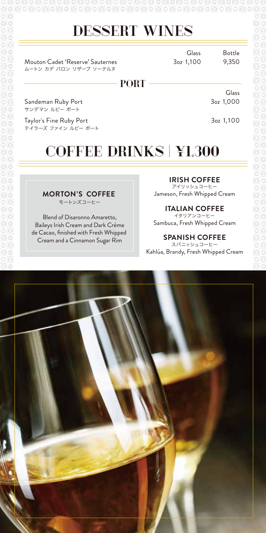$\text{\Theta} \circ \text{\Theta} \circ \text{\Theta} \circ \text{\Theta} \circ \text{\Theta} \circ \text{\Theta} \circ \text{\Theta} \circ \text{\Theta} \circ \text{\Theta} \circ \text{\Theta} \circ \text{\Theta} \circ \text{\Theta} \circ \text{\Theta} \circ \text{\Theta} \circ \text{\Theta} \circ \text{\Theta} \circ \text{\Theta} \circ \text{\Theta} \circ \text{\Theta} \circ \text{\Theta} \circ \text{\Theta} \circ \text{\Theta} \circ \text{\Theta} \circ \text{\Theta} \circ \text{\Theta} \circ \text{\Theta} \circ \text{\Theta} \circ \text{\Theta} \circ \text{\Theta} \circ \text{\Theta} \circ \text{\Theta} \circ \text{\$ 

### DESSERT WINES

Mouton Cadet 'Reserve' Sauternes 30z 1,100 9,350 ムートン カデ バロン リザーブ ソーテルヌ

Glass 3oz 1,100

Bottle

Glass

### PORT -

Sandeman Ruby Port サンデマン ルビー ポート

3oz 1,100

3oz 1,000

Taylor's Fine Ruby Port テイラーズ ファイン ルビー ポート

# COFFEE DRINKS | ¥1,300

#### **MORTON'S COFFEE**

モートンズコーヒー

Blend of Disaronno Amaretto, Baileys Irish Cream and Dark Crème de Cacao, finished with Fresh Whipped Cream and a Cinnamon Sugar Rim

**IRISH COFFEE** アイリッシュコーヒー

Jameson, Fresh Whipped Cream

### **ITALIAN COFFEE**

Sambuca, Fresh Whipped Cream イタリアンコーヒー

### **SPANISH COFFEE**

Kahlúa, Brandy, Fresh Whipped Cream スパニッシュコーヒー